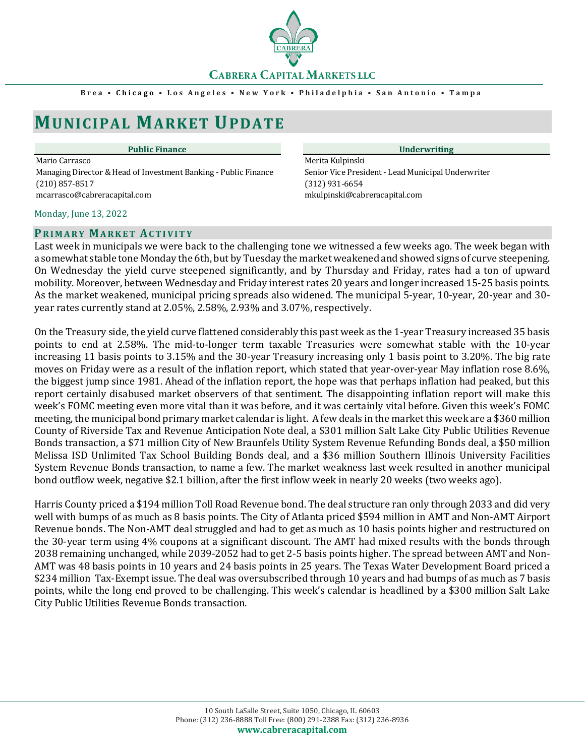

#### **Brea • Chicago • Los Angeles • New York • Philadelphia • San Antonio • Tamp a**

# **MUNICIPAL MARKET UPDATE**

#### **Public Finance Underwriting**

Mario Carrasco<br>Managing Director & Head of Investment Banking - Public Finance Managing Director & Head of Investment Banking - Public Finance Manic Vice President - Lead Municipal Underwriter Managing Director & Head of Investment Banking - Public Finance (210) 857-8517 (312) 931-6654 mcarrasco@cabreracapital.com mkulpinski@cabreracapital.com

#### Monday, June 13, 2022

#### **PRIMARY MARKET ACTIVITY**

Last week in municipals we were back to the challenging tone we witnessed a few weeks ago. The week began with a somewhat stable tone Monday the 6th, but by Tuesday the market weakened and showed signs of curve steepening. On Wednesday the yield curve steepened significantly, and by Thursday and Friday, rates had a ton of upward mobility. Moreover, between Wednesday and Friday interest rates 20 years and longer increased 15-25 basis points. As the market weakened, municipal pricing spreads also widened. The municipal 5-year, 10-year, 20-year and 30 year rates currently stand at 2.05%, 2.58%, 2.93% and 3.07%, respectively.

On the Treasury side, the yield curve flattened considerably this past week as the 1-year Treasury increased 35 basis points to end at 2.58%. The mid-to-longer term taxable Treasuries were somewhat stable with the 10-year increasing 11 basis points to 3.15% and the 30-year Treasury increasing only 1 basis point to 3.20%. The big rate moves on Friday were as a result of the inflation report, which stated that year-over-year May inflation rose 8.6%, the biggest jump since 1981. Ahead of the inflation report, the hope was that perhaps inflation had peaked, but this report certainly disabused market observers of that sentiment. The disappointing inflation report will make this week's FOMC meeting even more vital than it was before, and it was certainly vital before. Given this week's FOMC meeting, the municipal bond primary market calendar is light. A few deals in the market this week are a \$360 million County of Riverside Tax and Revenue Anticipation Note deal, a \$301 million Salt Lake City Public Utilities Revenue Bonds transaction, a \$71 million City of New Braunfels Utility System Revenue Refunding Bonds deal, a \$50 million Melissa ISD Unlimited Tax School Building Bonds deal, and a \$36 million Southern Illinois University Facilities System Revenue Bonds transaction, to name a few. The market weakness last week resulted in another municipal bond outflow week, negative \$2.1 billion, after the first inflow week in nearly 20 weeks (two weeks ago).

Harris County priced a \$194 million Toll Road Revenue bond. The deal structure ran only through 2033 and did very well with bumps of as much as 8 basis points. The City of Atlanta priced \$594 million in AMT and Non-AMT Airport Revenue bonds. The Non-AMT deal struggled and had to get as much as 10 basis points higher and restructured on the 30-year term using 4% coupons at a significant discount. The AMT had mixed results with the bonds through 2038 remaining unchanged, while 2039-2052 had to get 2-5 basis points higher. The spread between AMT and Non-AMT was 48 basis points in 10 years and 24 basis points in 25 years. The Texas Water Development Board priced a \$234 million Tax-Exempt issue. The deal was oversubscribed through 10 years and had bumps of as much as 7 basis points, while the long end proved to be challenging. This week's calendar is headlined by a \$300 million Salt Lake City Public Utilities Revenue Bonds transaction.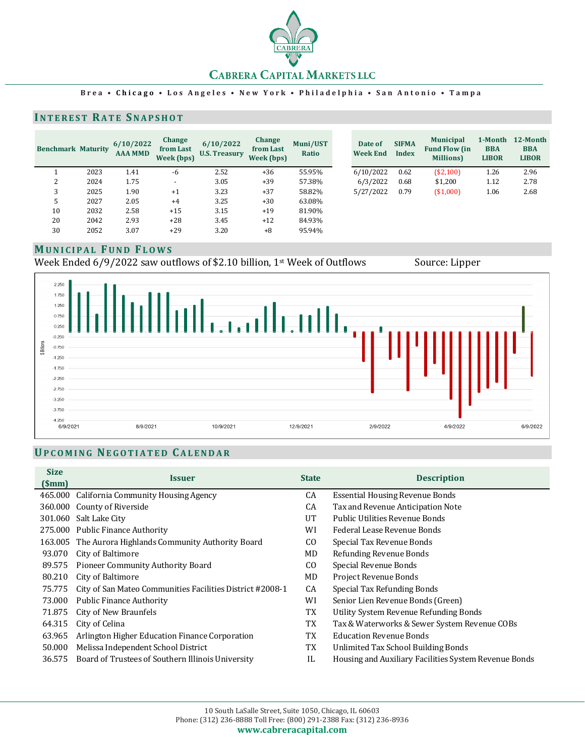

#### **Brea • Chicago • Los Angeles • New York • Philadelphia • San Antonio • Tamp a**

#### **INTEREST RATE SNAPSHOT**

| <b>Benchmark Maturity</b> |      | 6/10/2022<br><b>AAA MMD</b> | <b>Change</b><br>from Last<br>Week (bps) | 6/10/2022<br><b>U.S. Treasury</b> | Change<br>from Last<br>Week (bps) | Muni/UST<br>Ratio | Date of<br><b>Week End</b> | <b>SIFMA</b><br><b>Index</b> | <b>Municipal</b><br><b>Fund Flow (in</b><br><b>Millions</b> ) | 1-Month<br><b>BBA</b><br><b>LIBOR</b> | 12-Month<br><b>BBA</b><br><b>LIBOR</b> |
|---------------------------|------|-----------------------------|------------------------------------------|-----------------------------------|-----------------------------------|-------------------|----------------------------|------------------------------|---------------------------------------------------------------|---------------------------------------|----------------------------------------|
|                           | 2023 | 1.41                        | -6                                       | 2.52                              | $+36$                             | 55.95%            | 6/10/2022                  | 0.62                         | (\$2,100)                                                     | 1.26                                  | 2.96                                   |
|                           | 2024 | 1.75                        | $\overline{\phantom{a}}$                 | 3.05                              | $+39$                             | 57.38%            | 6/3/2022                   | 0.68                         | \$1,200                                                       | 1.12                                  | 2.78                                   |
| 3                         | 2025 | 1.90                        | $+1$                                     | 3.23                              | $+37$                             | 58.82%            | 5/27/2022                  | 0.79                         | (\$1,000)                                                     | 1.06                                  | 2.68                                   |
| C                         | 2027 | 2.05                        | $+4$                                     | 3.25                              | $+30$                             | 63.08%            |                            |                              |                                                               |                                       |                                        |
| 10                        | 2032 | 2.58                        | $+15$                                    | 3.15                              | $+19$                             | 81.90%            |                            |                              |                                                               |                                       |                                        |
| 20                        | 2042 | 2.93                        | $+28$                                    | 3.45                              | $+12$                             | 84.93%            |                            |                              |                                                               |                                       |                                        |
| 30                        | 2052 | 3.07                        | $+29$                                    | 3.20                              | $+8$                              | 95.94%            |                            |                              |                                                               |                                       |                                        |

# **MUNICIPAL FUND FLOWS**

Week Ended 6/9/2022 saw outflows of \$2.10 billion, 1<sup>st</sup> Week of Outflows Source: Lipper



## **UPCOMING NEGOTIATED CALENDAR**

| <b>Size</b><br>(Smm) | Issuer                                                    | <b>State</b>   | <b>Description</b>                                    |
|----------------------|-----------------------------------------------------------|----------------|-------------------------------------------------------|
|                      | 465.000 California Community Housing Agency               | CA             | <b>Essential Housing Revenue Bonds</b>                |
|                      | 360.000 County of Riverside                               | CA             | Tax and Revenue Anticipation Note                     |
| 301.060              | Salt Lake City                                            | UT             | Public Utilities Revenue Bonds                        |
|                      | 275.000 Public Finance Authority                          | WI             | Federal Lease Revenue Bonds                           |
| 163.005              | The Aurora Highlands Community Authority Board            | CO.            | Special Tax Revenue Bonds                             |
| 93.070               | City of Baltimore                                         | MD.            | Refunding Revenue Bonds                               |
| 89.575               | Pioneer Community Authority Board                         | C <sub>0</sub> | Special Revenue Bonds                                 |
| 80.210               | City of Baltimore                                         | MD.            | Project Revenue Bonds                                 |
| 75.775               | City of San Mateo Communities Facilities District #2008-1 | CA             | Special Tax Refunding Bonds                           |
| 73.000               | <b>Public Finance Authority</b>                           | WI             | Senior Lien Revenue Bonds (Green)                     |
| 71.875               | City of New Braunfels                                     | TX             | Utility System Revenue Refunding Bonds                |
| 64.315               | City of Celina                                            | TX             | Tax & Waterworks & Sewer System Revenue COBs          |
| 63.965               | Arlington Higher Education Finance Corporation            | TX             | <b>Education Revenue Bonds</b>                        |
| 50.000               | Melissa Independent School District                       | TX             | Unlimited Tax School Building Bonds                   |
| 36.575               | Board of Trustees of Southern Illinois University         | IL             | Housing and Auxiliary Facilities System Revenue Bonds |